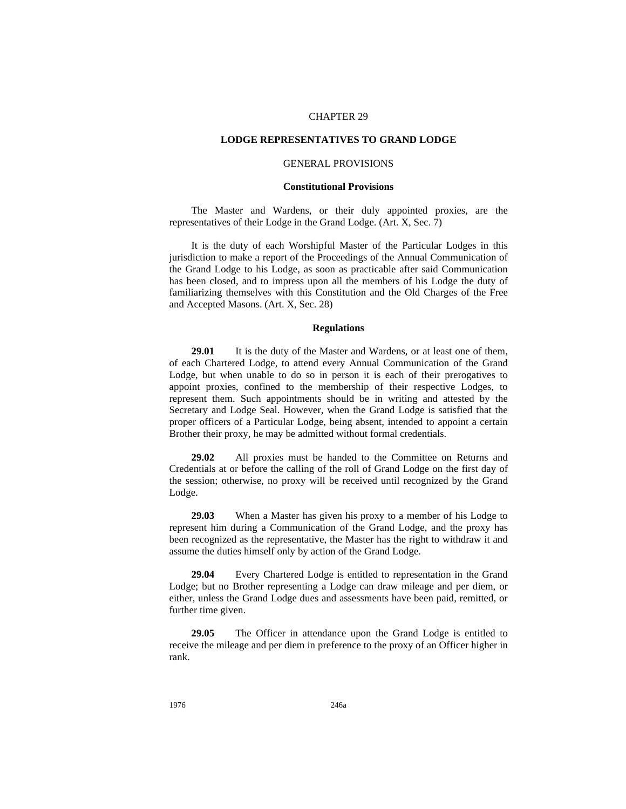# CHAPTER 29

# **LODGE REPRESENTATIVES TO GRAND LODGE**

# GENERAL PROVISIONS

### **Constitutional Provisions**

The Master and Wardens, or their duly appointed proxies, are the representatives of their Lodge in the Grand Lodge. (Art. X, Sec. 7)

It is the duty of each Worshipful Master of the Particular Lodges in this jurisdiction to make a report of the Proceedings of the Annual Communication of the Grand Lodge to his Lodge, as soon as practicable after said Communication has been closed, and to impress upon all the members of his Lodge the duty of familiarizing themselves with this Constitution and the Old Charges of the Free and Accepted Masons. (Art. X, Sec. 28)

# **Regulations**

**29.01** It is the duty of the Master and Wardens, or at least one of them, of each Chartered Lodge, to attend every Annual Communication of the Grand Lodge, but when unable to do so in person it is each of their prerogatives to appoint proxies, confined to the membership of their respective Lodges, to represent them. Such appointments should be in writing and attested by the Secretary and Lodge Seal. However, when the Grand Lodge is satisfied that the proper officers of a Particular Lodge, being absent, intended to appoint a certain Brother their proxy, he may be admitted without formal credentials.

**29.02** All proxies must be handed to the Committee on Returns and Credentials at or before the calling of the roll of Grand Lodge on the first day of the session; otherwise, no proxy will be received until recognized by the Grand Lodge.

**29.03** When a Master has given his proxy to a member of his Lodge to represent him during a Communication of the Grand Lodge, and the proxy has been recognized as the representative, the Master has the right to withdraw it and assume the duties himself only by action of the Grand Lodge.

**29.04** Every Chartered Lodge is entitled to representation in the Grand Lodge; but no Brother representing a Lodge can draw mileage and per diem, or either, unless the Grand Lodge dues and assessments have been paid, remitted, or further time given.

**29.05** The Officer in attendance upon the Grand Lodge is entitled to receive the mileage and per diem in preference to the proxy of an Officer higher in rank.